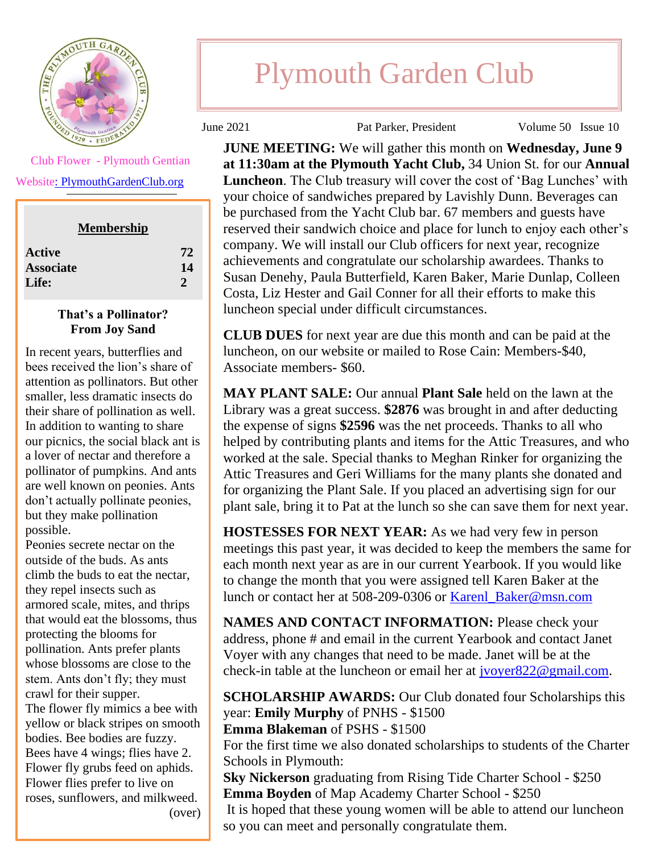

 Club Flower - Plymouth Gentian Websit[e: PlymouthGardenClub.org](https://plymouthgardenclub.org/)

**Membership**

| <b>Active</b>    | 72 |
|------------------|----|
| <b>Associate</b> | 14 |
| Life:            | 2  |

## **That's a Pollinator? From Joy Sand**

In recent years, butterflies and bees received the lion's share of attention as pollinators. But other smaller, less dramatic insects do their share of pollination as well. In addition to wanting to share our picnics, the social black ant is a lover of nectar and therefore a pollinator of pumpkins. And ants are well known on peonies. Ants don't actually pollinate peonies, but they make pollination possible.

Peonies secrete nectar on the outside of the buds. As ants climb the buds to eat the nectar, they repel insects such as armored scale, mites, and thrips that would eat the blossoms, thus protecting the blooms for pollination. Ants prefer plants whose blossoms are close to the stem. Ants don't fly; they must crawl for their supper. The flower fly mimics a bee with yellow or black stripes on smooth bodies. Bee bodies are fuzzy. Bees have 4 wings; flies have 2. Flower fly grubs feed on aphids. Flower flies prefer to live on roses, sunflowers, and milkweed.

**SEPTEMBER FLOWER** 

## Plymouth Garden Club

June 2021 Pat Parker, President Volume 50 Issue 10

**JUNE MEETING:** We will gather this month on **Wednesday, June 9 at 11:30am at the Plymouth Yacht Club,** 34 Union St. for our **Annual Luncheon**. The Club treasury will cover the cost of 'Bag Lunches' with your choice of sandwiches prepared by Lavishly Dunn. Beverages can be purchased from the Yacht Club bar. 67 members and guests have reserved their sandwich choice and place for lunch to enjoy each other's company. We will install our Club officers for next year, recognize achievements and congratulate our scholarship awardees. Thanks to Susan Denehy, Paula Butterfield, Karen Baker, Marie Dunlap, Colleen Costa, Liz Hester and Gail Conner for all their efforts to make this luncheon special under difficult circumstances.

**CLUB DUES** for next year are due this month and can be paid at the luncheon, on our website or mailed to Rose Cain: Members-\$40, Associate members- \$60.

**MAY PLANT SALE:** Our annual **Plant Sale** held on the lawn at the Library was a great success. **\$2876** was brought in and after deducting the expense of signs **\$2596** was the net proceeds. Thanks to all who helped by contributing plants and items for the Attic Treasures, and who worked at the sale. Special thanks to Meghan Rinker for organizing the Attic Treasures and Geri Williams for the many plants she donated and for organizing the Plant Sale. If you placed an advertising sign for our plant sale, bring it to Pat at the lunch so she can save them for next year.

**HOSTESSES FOR NEXT YEAR:** As we had very few in person meetings this past year, it was decided to keep the members the same for each month next year as are in our current Yearbook. If you would like to change the month that you were assigned tell Karen Baker at the lunch or contact her at 508-209-0306 or [Karenl\\_Baker@msn.com](mailto:Karenl_Baker@msn.com)

**NAMES AND CONTACT INFORMATION:** Please check your address, phone # and email in the current Yearbook and contact Janet Voyer with any changes that need to be made. Janet will be at the check-in table at the luncheon or email her at [jvoyer822@gmail.com.](mailto:jvoyer822@gmail.com)

**SCHOLARSHIP AWARDS:** Our Club donated four Scholarships this year: **Emily Murphy** of PNHS - \$1500

**Emma Blakeman** of PSHS - \$1500

For the first time we also donated scholarships to students of the Charter Schools in Plymouth:

**Sky Nickerson** graduating from Rising Tide Charter School - \$250 **Emma Boyden** of Map Academy Charter School - \$250 It is hoped that these young women will be able to attend our luncheon

so you can meet and personally congratulate them.

(over)